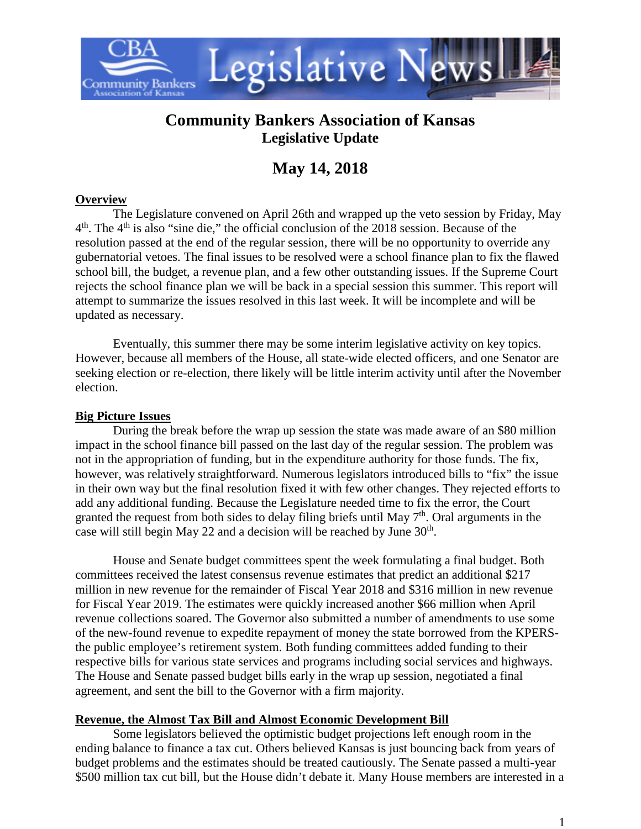

# **Community Bankers Association of Kansas Legislative Update**

# **May 14, 2018**

# **Overview**

The Legislature convened on April 26th and wrapped up the veto session by Friday, May  $4<sup>th</sup>$ . The  $4<sup>th</sup>$  is also "sine die," the official conclusion of the 2018 session. Because of the resolution passed at the end of the regular session, there will be no opportunity to override any gubernatorial vetoes. The final issues to be resolved were a school finance plan to fix the flawed school bill, the budget, a revenue plan, and a few other outstanding issues. If the Supreme Court rejects the school finance plan we will be back in a special session this summer. This report will attempt to summarize the issues resolved in this last week. It will be incomplete and will be updated as necessary.

Eventually, this summer there may be some interim legislative activity on key topics. However, because all members of the House, all state-wide elected officers, and one Senator are seeking election or re-election, there likely will be little interim activity until after the November election.

### **Big Picture Issues**

During the break before the wrap up session the state was made aware of an \$80 million impact in the school finance bill passed on the last day of the regular session. The problem was not in the appropriation of funding, but in the expenditure authority for those funds. The fix, however, was relatively straightforward. Numerous legislators introduced bills to "fix" the issue in their own way but the final resolution fixed it with few other changes. They rejected efforts to add any additional funding. Because the Legislature needed time to fix the error, the Court granted the request from both sides to delay filing briefs until May 7<sup>th</sup>. Oral arguments in the case will still begin May 22 and a decision will be reached by June 30<sup>th</sup>.

House and Senate budget committees spent the week formulating a final budget. Both committees received the latest consensus revenue estimates that predict an additional \$217 million in new revenue for the remainder of Fiscal Year 2018 and \$316 million in new revenue for Fiscal Year 2019. The estimates were quickly increased another \$66 million when April revenue collections soared. The Governor also submitted a number of amendments to use some of the new-found revenue to expedite repayment of money the state borrowed from the KPERSthe public employee's retirement system. Both funding committees added funding to their respective bills for various state services and programs including social services and highways. The House and Senate passed budget bills early in the wrap up session, negotiated a final agreement, and sent the bill to the Governor with a firm majority.

# **Revenue, the Almost Tax Bill and Almost Economic Development Bill**

Some legislators believed the optimistic budget projections left enough room in the ending balance to finance a tax cut. Others believed Kansas is just bouncing back from years of budget problems and the estimates should be treated cautiously. The Senate passed a multi-year \$500 million tax cut bill, but the House didn't debate it. Many House members are interested in a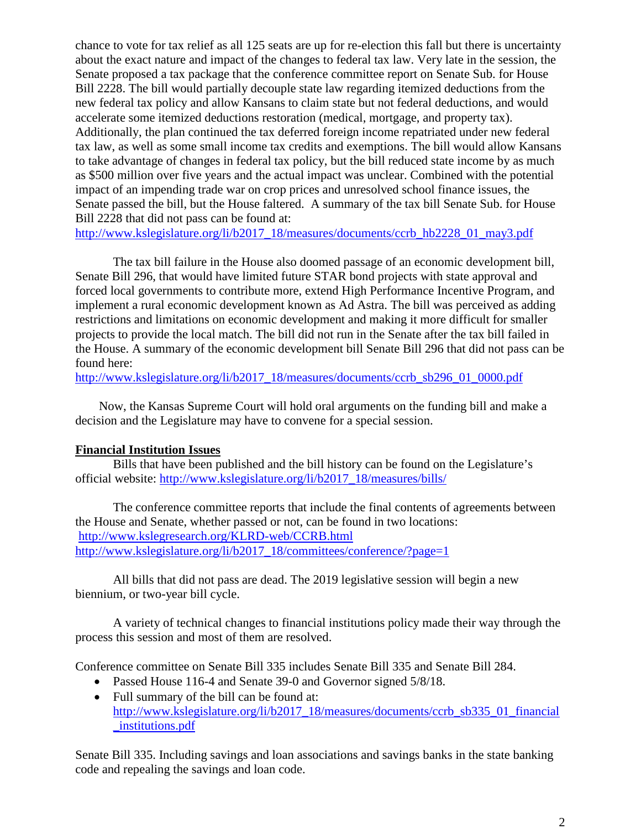chance to vote for tax relief as all 125 seats are up for re-election this fall but there is uncertainty about the exact nature and impact of the changes to federal tax law. Very late in the session, the Senate proposed a tax package that the conference committee report on Senate Sub. for House Bill 2228. The bill would partially decouple state law regarding itemized deductions from the new federal tax policy and allow Kansans to claim state but not federal deductions, and would accelerate some itemized deductions restoration (medical, mortgage, and property tax). Additionally, the plan continued the tax deferred foreign income repatriated under new federal tax law, as well as some small income tax credits and exemptions. The bill would allow Kansans to take advantage of changes in federal tax policy, but the bill reduced state income by as much as \$500 million over five years and the actual impact was unclear. Combined with the potential impact of an impending trade war on crop prices and unresolved school finance issues, the Senate passed the bill, but the House faltered. A summary of the tax bill Senate Sub. for House Bill 2228 that did not pass can be found at:

[http://www.kslegislature.org/li/b2017\\_18/measures/documents/ccrb\\_hb2228\\_01\\_may3.pdf](http://www.kslegislature.org/li/b2017_18/measures/documents/ccrb_hb2228_01_may3.pdf)

The tax bill failure in the House also doomed passage of an economic development bill, Senate Bill 296, that would have limited future STAR bond projects with state approval and forced local governments to contribute more, extend High Performance Incentive Program, and implement a rural economic development known as Ad Astra. The bill was perceived as adding restrictions and limitations on economic development and making it more difficult for smaller projects to provide the local match. The bill did not run in the Senate after the tax bill failed in the House. A summary of the economic development bill Senate Bill 296 that did not pass can be found here:

[http://www.kslegislature.org/li/b2017\\_18/measures/documents/ccrb\\_sb296\\_01\\_0000.pdf](http://www.kslegislature.org/li/b2017_18/measures/documents/ccrb_sb296_01_0000.pdf)

Now, the Kansas Supreme Court will hold oral arguments on the funding bill and make a decision and the Legislature may have to convene for a special session.

#### **Financial Institution Issues**

Bills that have been published and the bill history can be found on the Legislature's official website: [http://www.kslegislature.org/li/b2017\\_18/measures/bills/](http://www.kslegislature.org/li/b2017_18/measures/bills/)

The conference committee reports that include the final contents of agreements between the House and Senate, whether passed or not, can be found in two locations: <http://www.kslegresearch.org/KLRD-web/CCRB.html> [http://www.kslegislature.org/li/b2017\\_18/committees/conference/?page=1](http://www.kslegislature.org/li/b2017_18/committees/conference/?page=1)

All bills that did not pass are dead. The 2019 legislative session will begin a new biennium, or two-year bill cycle.

A variety of technical changes to financial institutions policy made their way through the process this session and most of them are resolved.

Conference committee on Senate Bill 335 includes Senate Bill 335 and Senate Bill 284.

- Passed House 116-4 and Senate 39-0 and Governor signed  $5/8/18$ .
- Full summary of the bill can be found at: [http://www.kslegislature.org/li/b2017\\_18/measures/documents/ccrb\\_sb335\\_01\\_financial](http://www.kslegislature.org/li/b2017_18/measures/documents/ccrb_sb335_01_financial_institutions.pdf) [\\_institutions.pdf](http://www.kslegislature.org/li/b2017_18/measures/documents/ccrb_sb335_01_financial_institutions.pdf)

Senate Bill 335. Including savings and loan associations and savings banks in the state banking code and repealing the savings and loan code.